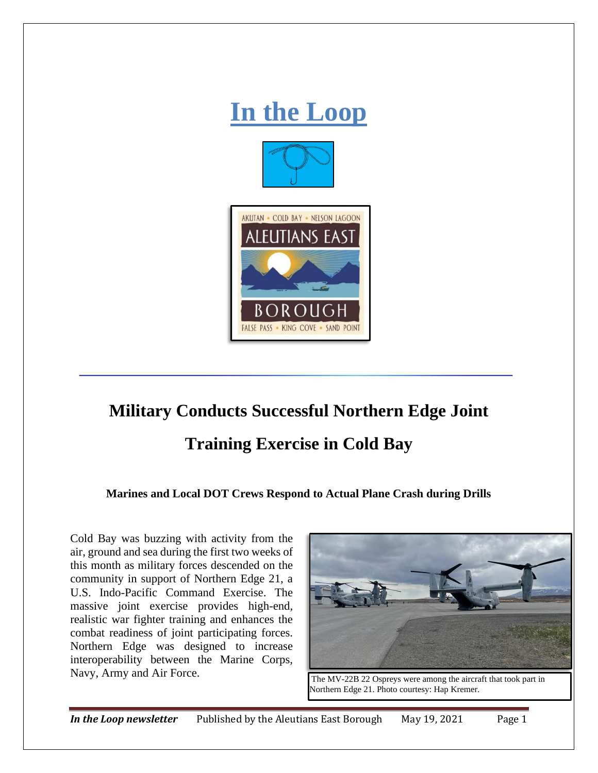

## **Military Conducts Successful Northern Edge Joint**

## **Training Exercise in Cold Bay**

**Marines and Local DOT Crews Respond to Actual Plane Crash during Drills** 

Cold Bay was buzzing with activity from the air, ground and sea during the first two weeks of this month as military forces descended on the community in support of Northern Edge 21, a U.S. Indo-Pacific Command Exercise. The massive joint exercise provides high-end, realistic war fighter training and enhances the combat readiness of joint participating forces. Northern Edge was designed to increase interoperability between the Marine Corps, Navy, Army and Air Force.<br>The MV-22B 22 Ospreys were among the aircraft that took part in



Northern Edge 21. Photo courtesy: Hap Kremer.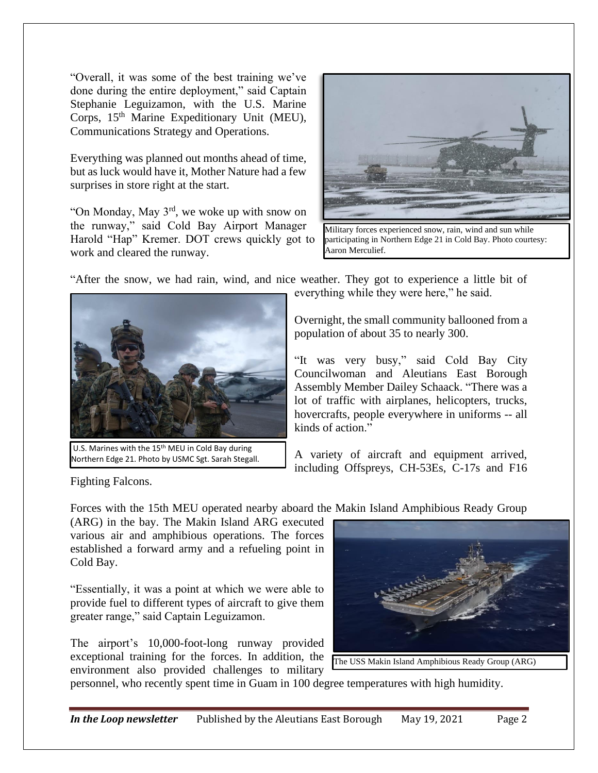"Overall, it was some of the best training we've done during the entire deployment," said Captain Stephanie Leguizamon, with the U.S. Marine Corps, 15<sup>th</sup> Marine Expeditionary Unit (MEU), Communications Strategy and Operations.

Everything was planned out months ahead of time, but as luck would have it, Mother Nature had a few surprises in store right at the start.

"On Monday, May 3rd, we woke up with snow on the runway," said Cold Bay Airport Manager Harold "Hap" Kremer. DOT crews quickly got to work and cleared the runway.



Military forces experienced snow, rain, wind and sun while participating in Northern Edge 21 in Cold Bay. Photo courtesy: Aaron Merculief.

"After the snow, we had rain, wind, and nice weather. They got to experience a little bit of



U.S. Marines with the 15<sup>th</sup> MEU in Cold Bay during Northern Edge 21. Photo by USMC Sgt. Sarah Stegall.

everything while they were here," he said.

Overnight, the small community ballooned from a population of about 35 to nearly 300.

"It was very busy," said Cold Bay City Councilwoman and Aleutians East Borough Assembly Member Dailey Schaack. "There was a lot of traffic with airplanes, helicopters, trucks, hovercrafts, people everywhere in uniforms -- all kinds of action."

A variety of aircraft and equipment arrived, including Offspreys, CH-53Es, C-17s and F16

Fighting Falcons.

Forces with the 15th MEU operated nearby aboard the Makin Island Amphibious Ready Group

(ARG) in the bay. The Makin Island ARG executed various air and amphibious operations. The forces established a forward army and a refueling point in Cold Bay.

"Essentially, it was a point at which we were able to provide fuel to different types of aircraft to give them greater range," said Captain Leguizamon.

The airport's 10,000-foot-long runway provided exceptional training for the forces. In addition, the environment also provided challenges to military



personnel, who recently spent time in Guam in 100 degree temperatures with high humidity.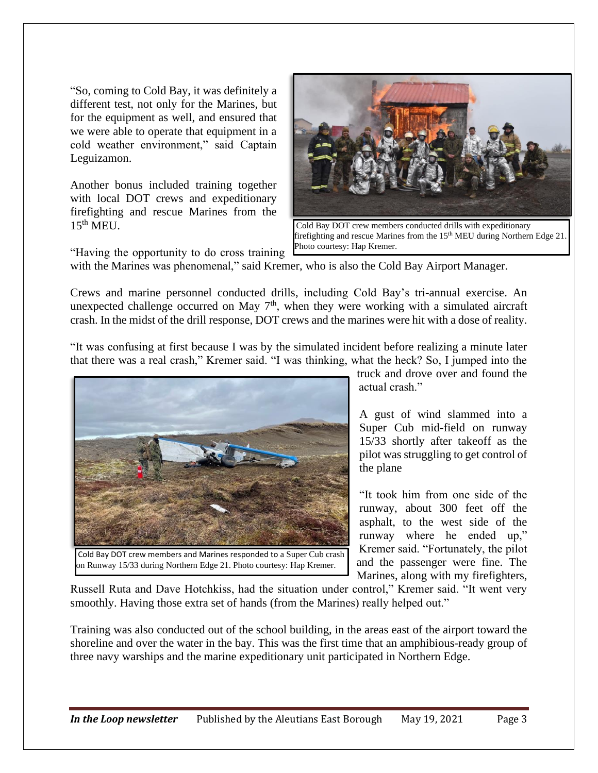"So, coming to Cold Bay, it was definitely a different test, not only for the Marines, but for the equipment as well, and ensured that we were able to operate that equipment in a cold weather environment," said Captain Leguizamon.

Another bonus included training together with local DOT crews and expeditionary firefighting and rescue Marines from the  $15^{th}$  MEU.



Cold Bay DOT crew members conducted drills with expeditionary firefighting and rescue Marines from the 15th MEU during Northern Edge 21. Photo courtesy: Hap Kremer.

"Having the opportunity to do cross training

with the Marines was phenomenal," said Kremer, who is also the Cold Bay Airport Manager.

Crews and marine personnel conducted drills, including Cold Bay's tri-annual exercise. An unexpected challenge occurred on May  $7<sup>th</sup>$ , when they were working with a simulated aircraft crash. In the midst of the drill response, DOT crews and the marines were hit with a dose of reality.

"It was confusing at first because I was by the simulated incident before realizing a minute later that there was a real crash," Kremer said. "I was thinking, what the heck? So, I jumped into the



on Runway 15/33 during Northern Edge 21. Photo courtesy: Hap Kremer.

truck and drove over and found the actual crash."

A gust of wind slammed into a Super Cub mid-field on runway 15/33 shortly after takeoff as the pilot was struggling to get control of the plane

"It took him from one side of the runway, about 300 feet off the asphalt, to the west side of the runway where he ended up," Kremer said. "Fortunately, the pilot and the passenger were fine. The Marines, along with my firefighters,

Russell Ruta and Dave Hotchkiss, had the situation under control," Kremer said. "It went very smoothly. Having those extra set of hands (from the Marines) really helped out."

Training was also conducted out of the school building, in the areas east of the airport toward the shoreline and over the water in the bay. This was the first time that an amphibious-ready group of three navy warships and the marine expeditionary unit participated in Northern Edge.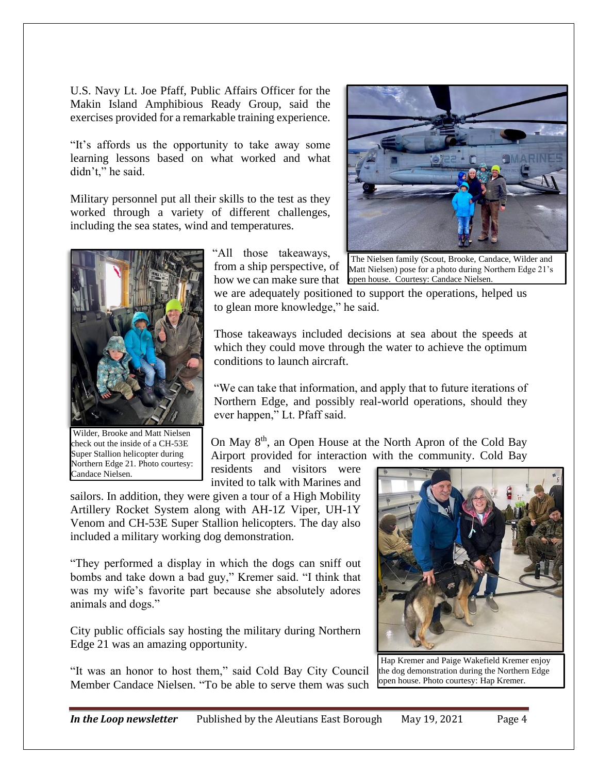U.S. Navy Lt. Joe Pfaff, Public Affairs Officer for the Makin Island Amphibious Ready Group, said the exercises provided for a remarkable training experience.

"It's affords us the opportunity to take away some learning lessons based on what worked and what didn't," he said.

Military personnel put all their skills to the test as they worked through a variety of different challenges, including the sea states, wind and temperatures.



Wilder, Brooke and Matt Nielsen check out the inside of a CH-53E Super Stallion helicopter during Northern Edge 21. Photo courtesy: Candace Nielsen.

"All those takeaways, from a ship perspective, of

we are adequately positioned to support the operations, helped us to glean more knowledge," he said.

Those takeaways included decisions at sea about the speeds at which they could move through the water to achieve the optimum conditions to launch aircraft.

"We can take that information, and apply that to future iterations of Northern Edge, and possibly real-world operations, should they ever happen," Lt. Pfaff said.

On May  $8<sup>th</sup>$ , an Open House at the North Apron of the Cold Bay Airport provided for interaction with the community. Cold Bay

residents and visitors were invited to talk with Marines and

sailors. In addition, they were given a tour of a High Mobility Artillery Rocket System along with AH-1Z Viper, UH-1Y Venom and CH-53E Super Stallion helicopters. The day also included a military working dog demonstration.

"They performed a display in which the dogs can sniff out bombs and take down a bad guy," Kremer said. "I think that was my wife's favorite part because she absolutely adores animals and dogs."

City public officials say hosting the military during Northern Edge 21 was an amazing opportunity.

"It was an honor to host them," said Cold Bay City Council Member Candace Nielsen. "To be able to serve them was such



Hap Kremer and Paige Wakefield Kremer enjoy the dog demonstration during the Northern Edge open house. Photo courtesy: Hap Kremer.



how we can make sure that open house. Courtesy: Candace Nielsen. The Nielsen family (Scout, Brooke, Candace, Wilder and Matt Nielsen) pose for a photo during Northern Edge 21's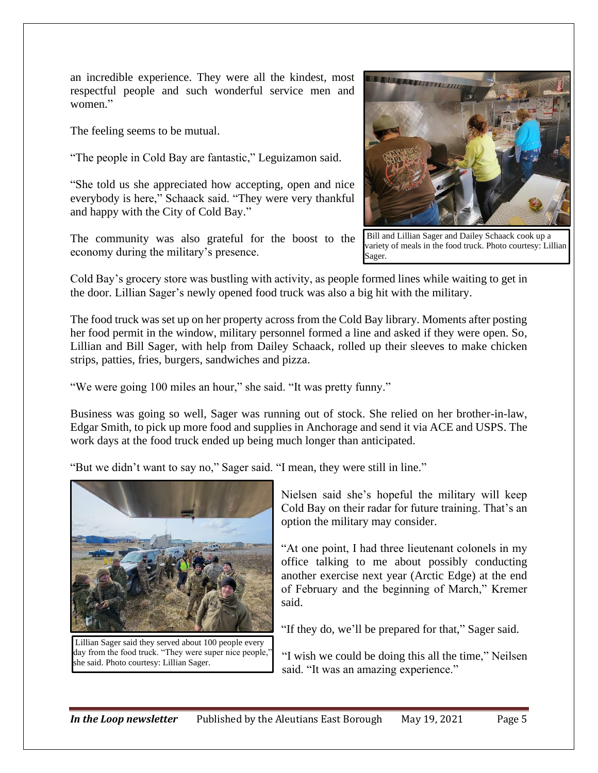an incredible experience. They were all the kindest, most respectful people and such wonderful service men and women."

The feeling seems to be mutual.

"The people in Cold Bay are fantastic," Leguizamon said.

"She told us she appreciated how accepting, open and nice everybody is here," Schaack said. "They were very thankful and happy with the City of Cold Bay."

The community was also grateful for the boost to the economy during the military's presence.



Bill and Lillian Sager and Dailey Schaack cook up a variety of meals in the food truck. Photo courtesy: Lillian Sager.

Cold Bay's grocery store was bustling with activity, as people formed lines while waiting to get in the door. Lillian Sager's newly opened food truck was also a big hit with the military.

The food truck was set up on her property across from the Cold Bay library. Moments after posting her food permit in the window, military personnel formed a line and asked if they were open. So, Lillian and Bill Sager, with help from Dailey Schaack, rolled up their sleeves to make chicken strips, patties, fries, burgers, sandwiches and pizza.

"We were going 100 miles an hour," she said. "It was pretty funny."

Business was going so well, Sager was running out of stock. She relied on her brother-in-law, Edgar Smith, to pick up more food and supplies in Anchorage and send it via ACE and USPS. The work days at the food truck ended up being much longer than anticipated.

"But we didn't want to say no," Sager said. "I mean, they were still in line."



Lillian Sager said they served about 100 people every day from the food truck. "They were super nice people," she said. Photo courtesy: Lillian Sager.

Nielsen said she's hopeful the military will keep Cold Bay on their radar for future training. That's an option the military may consider.

"At one point, I had three lieutenant colonels in my office talking to me about possibly conducting another exercise next year (Arctic Edge) at the end of February and the beginning of March," Kremer said.

"If they do, we'll be prepared for that," Sager said.

"I wish we could be doing this all the time," Neilsen said. "It was an amazing experience."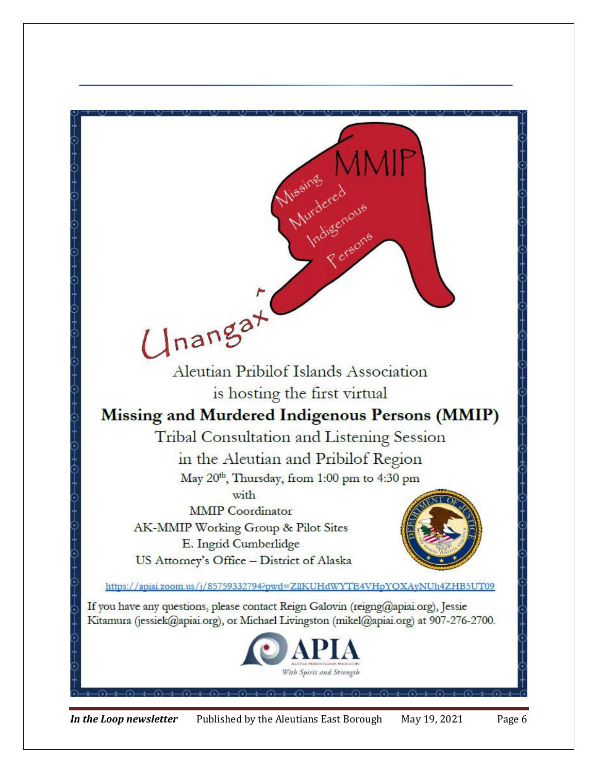

*In the Loop newsletter* Published by the Aleutians East Borough May 19, 2021 Page 6